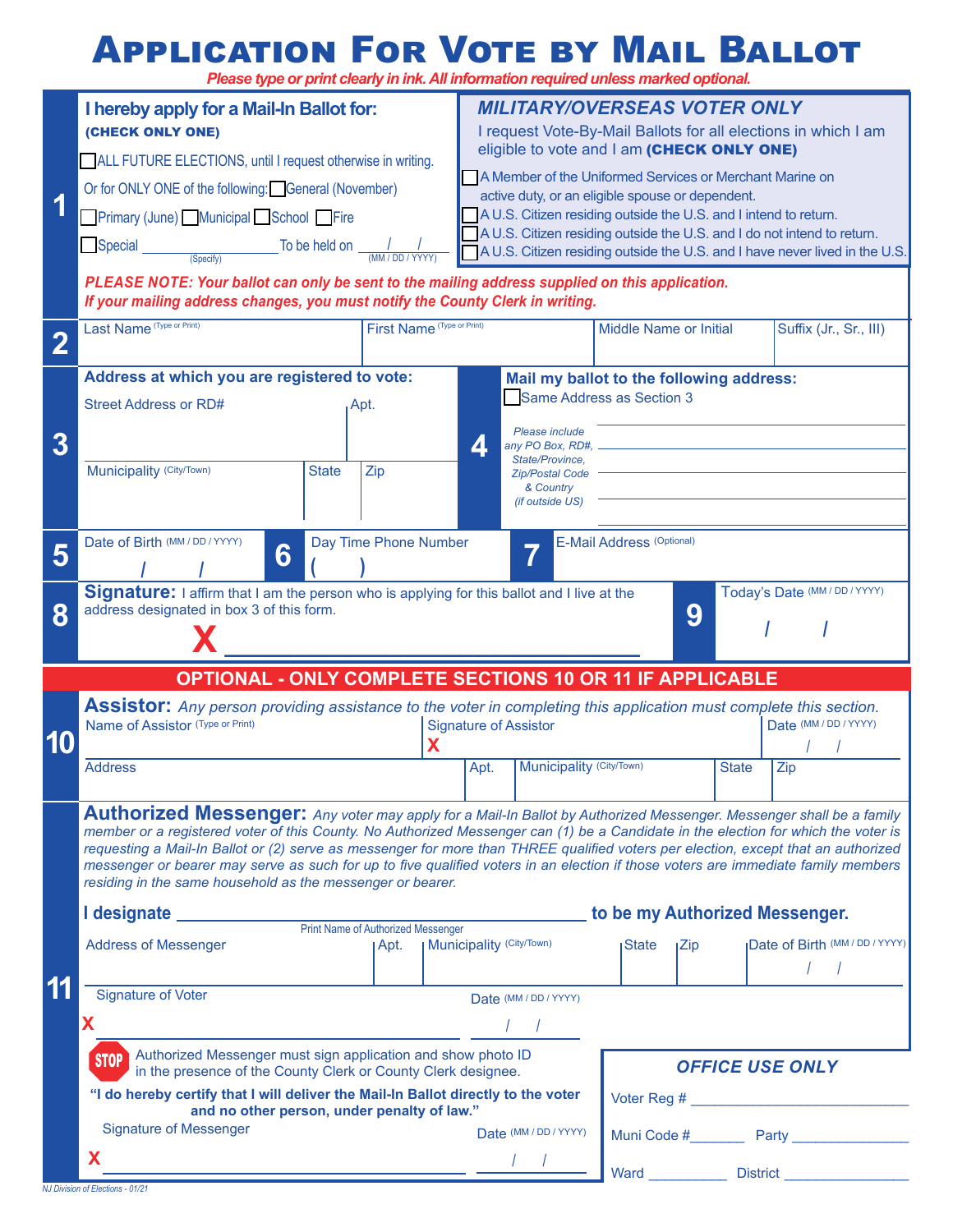#### Application For Vote by Mail Ballot

*Please type or print clearly in ink. All information required unless marked optional.*

|                                                                 | I hereby apply for a Mail-In Ballot for:<br>(CHECK ONLY ONE)                                                                                                                                                                                                                                                                                                                                                                                                                                                                                                                                                                                                                      | <b>MILITARY/OVERSEAS VOTER ONLY</b><br>I request Vote-By-Mail Ballots for all elections in which I am<br>eligible to vote and I am (CHECK ONLY ONE)                                                                                                                                                                                        |                                                                                                                                         |                                       |
|-----------------------------------------------------------------|-----------------------------------------------------------------------------------------------------------------------------------------------------------------------------------------------------------------------------------------------------------------------------------------------------------------------------------------------------------------------------------------------------------------------------------------------------------------------------------------------------------------------------------------------------------------------------------------------------------------------------------------------------------------------------------|--------------------------------------------------------------------------------------------------------------------------------------------------------------------------------------------------------------------------------------------------------------------------------------------------------------------------------------------|-----------------------------------------------------------------------------------------------------------------------------------------|---------------------------------------|
| 1                                                               | ALL FUTURE ELECTIONS, until I request otherwise in writing.<br>Or for ONLY ONE of the following: General (November)<br>Primary (June) Municipal School Fire<br>To be held on $\frac{1}{(MM/DD/YYYY)}$<br>Special<br>(Specify)                                                                                                                                                                                                                                                                                                                                                                                                                                                     | A Member of the Uniformed Services or Merchant Marine on<br>active duty, or an eligible spouse or dependent.<br>A U.S. Citizen residing outside the U.S. and I intend to return.<br>A U.S. Citizen residing outside the U.S. and I do not intend to return.<br>A U.S. Citizen residing outside the U.S. and I have never lived in the U.S. |                                                                                                                                         |                                       |
|                                                                 | PLEASE NOTE: Your ballot can only be sent to the mailing address supplied on this application.<br>If your mailing address changes, you must notify the County Clerk in writing.                                                                                                                                                                                                                                                                                                                                                                                                                                                                                                   |                                                                                                                                                                                                                                                                                                                                            |                                                                                                                                         |                                       |
|                                                                 | Last Name (Type or Print)<br>First Name (Type or Print)                                                                                                                                                                                                                                                                                                                                                                                                                                                                                                                                                                                                                           |                                                                                                                                                                                                                                                                                                                                            | <b>Middle Name or Initial</b>                                                                                                           | Suffix (Jr., Sr., III)                |
| 3                                                               | Address at which you are registered to vote:<br><b>Street Address or RD#</b><br>Apt.                                                                                                                                                                                                                                                                                                                                                                                                                                                                                                                                                                                              | Please include<br>Д<br>any PO Box, RD#,                                                                                                                                                                                                                                                                                                    | Mail my ballot to the following address:<br>Same Address as Section 3                                                                   |                                       |
|                                                                 | Municipality (City/Town)<br><b>State</b><br>Zip                                                                                                                                                                                                                                                                                                                                                                                                                                                                                                                                                                                                                                   | State/Province,<br><b>Zip/Postal Code</b><br>& Country<br><i>(if outside US)</i>                                                                                                                                                                                                                                                           |                                                                                                                                         |                                       |
| 5                                                               | Date of Birth (MM / DD / YYYY)<br><b>E-Mail Address (Optional)</b><br>Day Time Phone Number<br>6                                                                                                                                                                                                                                                                                                                                                                                                                                                                                                                                                                                  |                                                                                                                                                                                                                                                                                                                                            |                                                                                                                                         |                                       |
| 8                                                               | Signature: I affirm that I am the person who is applying for this ballot and I live at the<br>Today's Date (MM / DD / YYYY)<br>address designated in box 3 of this form.<br>9                                                                                                                                                                                                                                                                                                                                                                                                                                                                                                     |                                                                                                                                                                                                                                                                                                                                            |                                                                                                                                         |                                       |
| <b>OPTIONAL - ONLY COMPLETE SECTIONS 10 OR 11 IF APPLICABLE</b> |                                                                                                                                                                                                                                                                                                                                                                                                                                                                                                                                                                                                                                                                                   |                                                                                                                                                                                                                                                                                                                                            |                                                                                                                                         |                                       |
| 10                                                              | <b>Assistor:</b> Any person providing assistance to the voter in completing this application must complete this section.<br>Name of Assistor (Type or Print)<br>X                                                                                                                                                                                                                                                                                                                                                                                                                                                                                                                 | <b>Signature of Assistor</b>                                                                                                                                                                                                                                                                                                               |                                                                                                                                         | Date (MM / DD / YYYY)                 |
|                                                                 | <b>Address</b>                                                                                                                                                                                                                                                                                                                                                                                                                                                                                                                                                                                                                                                                    | Municipality (City/Town)<br>Apt.                                                                                                                                                                                                                                                                                                           | <b>State</b>                                                                                                                            | Zip                                   |
|                                                                 | <b>Authorized Messenger:</b> Any voter may apply for a Mail-In Ballot by Authorized Messenger. Messenger shall be a family<br>member or a registered voter of this County. No Authorized Messenger can (1) be a Candidate in the election for which the voter is<br>requesting a Mail-In Ballot or (2) serve as messenger for more than THREE qualified voters per election, except that an authorized<br>messenger or bearer may serve as such for up to five qualified voters in an election if those voters are immediate family members<br>residing in the same household as the messenger or bearer.<br>to be my Authorized Messenger.<br>Print Name of Authorized Messenger |                                                                                                                                                                                                                                                                                                                                            |                                                                                                                                         |                                       |
|                                                                 | <b>Address of Messenger</b><br>I Apt.                                                                                                                                                                                                                                                                                                                                                                                                                                                                                                                                                                                                                                             | Municipality (City/Town)                                                                                                                                                                                                                                                                                                                   | <b>State</b><br>ıZip.                                                                                                                   | <b>Date of Birth (MM / DD / YYYY)</b> |
|                                                                 | <b>Signature of Voter</b><br>Date (MM / DD / YYYY)<br>Χ                                                                                                                                                                                                                                                                                                                                                                                                                                                                                                                                                                                                                           |                                                                                                                                                                                                                                                                                                                                            |                                                                                                                                         |                                       |
|                                                                 | Authorized Messenger must sign application and show photo ID<br><b>STOP</b><br>in the presence of the County Clerk or County Clerk designee.<br>"I do hereby certify that I will deliver the Mail-In Ballot directly to the voter                                                                                                                                                                                                                                                                                                                                                                                                                                                 |                                                                                                                                                                                                                                                                                                                                            | <b>OFFICE USE ONLY</b><br>Voter Reg # 2008 2009 2009 2012 2023 2024 2022 2023 2024 2022 2023 2024 2022 2023 2024 2022 2023 2024 2025 20 |                                       |
|                                                                 | and no other person, under penalty of law."<br><b>Signature of Messenger</b>                                                                                                                                                                                                                                                                                                                                                                                                                                                                                                                                                                                                      | Date (MM / DD / YYYY)                                                                                                                                                                                                                                                                                                                      | Muni Code # Party                                                                                                                       |                                       |
|                                                                 | x                                                                                                                                                                                                                                                                                                                                                                                                                                                                                                                                                                                                                                                                                 |                                                                                                                                                                                                                                                                                                                                            |                                                                                                                                         |                                       |